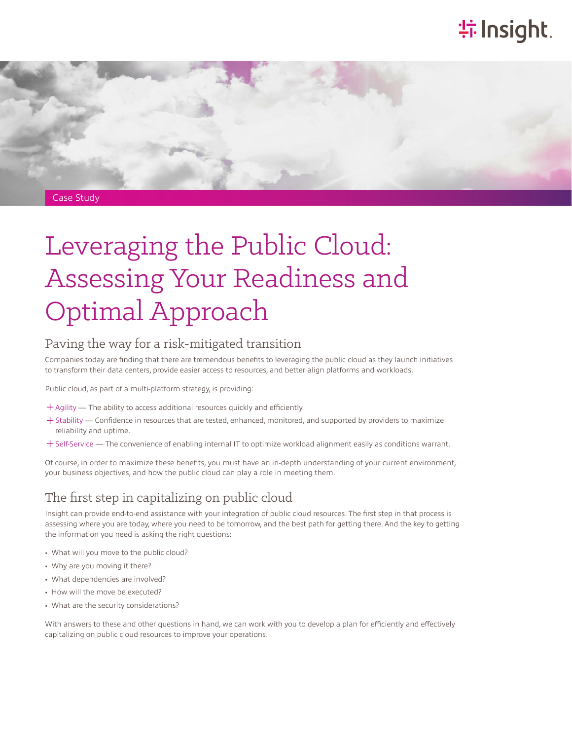## **特 Insight**



#### Case Study

# Leveraging the Public Cloud: Assessing Your Readiness and Optimal Approach

## Paving the way for a risk-mitigated transition

Companies today are finding that there are tremendous benefits to leveraging the public cloud as they launch initiatives to transform their data centers, provide easier access to resources, and better align platforms and workloads.

Public cloud, as part of a multi-platform strategy, is providing:

- $+$  Agility The ability to access additional resources quickly and efficiently.
- + Stability Confidence in resources that are tested, enhanced, monitored, and supported by providers to maximize reliability and uptime.
- ͓Self-Service The convenience of enabling internal IT to optimize workload alignment easily as conditions warrant.

Of course, in order to maximize these benefits, you must have an in-depth understanding of your current environment, your business objectives, and how the public cloud can play a role in meeting them.

## The first step in capitalizing on public cloud

Insight can provide end-to-end assistance with your integration of public cloud resources. The first step in that process is assessing where you are today, where you need to be tomorrow, and the best path for getting there. And the key to getting the information you need is asking the right questions:

- What will you move to the public cloud?
- Why are you moving it there?
- What dependencies are involved?
- How will the move be executed?
- What are the security considerations?

With answers to these and other questions in hand, we can work with you to develop a plan for efficiently and effectively capitalizing on public cloud resources to improve your operations.